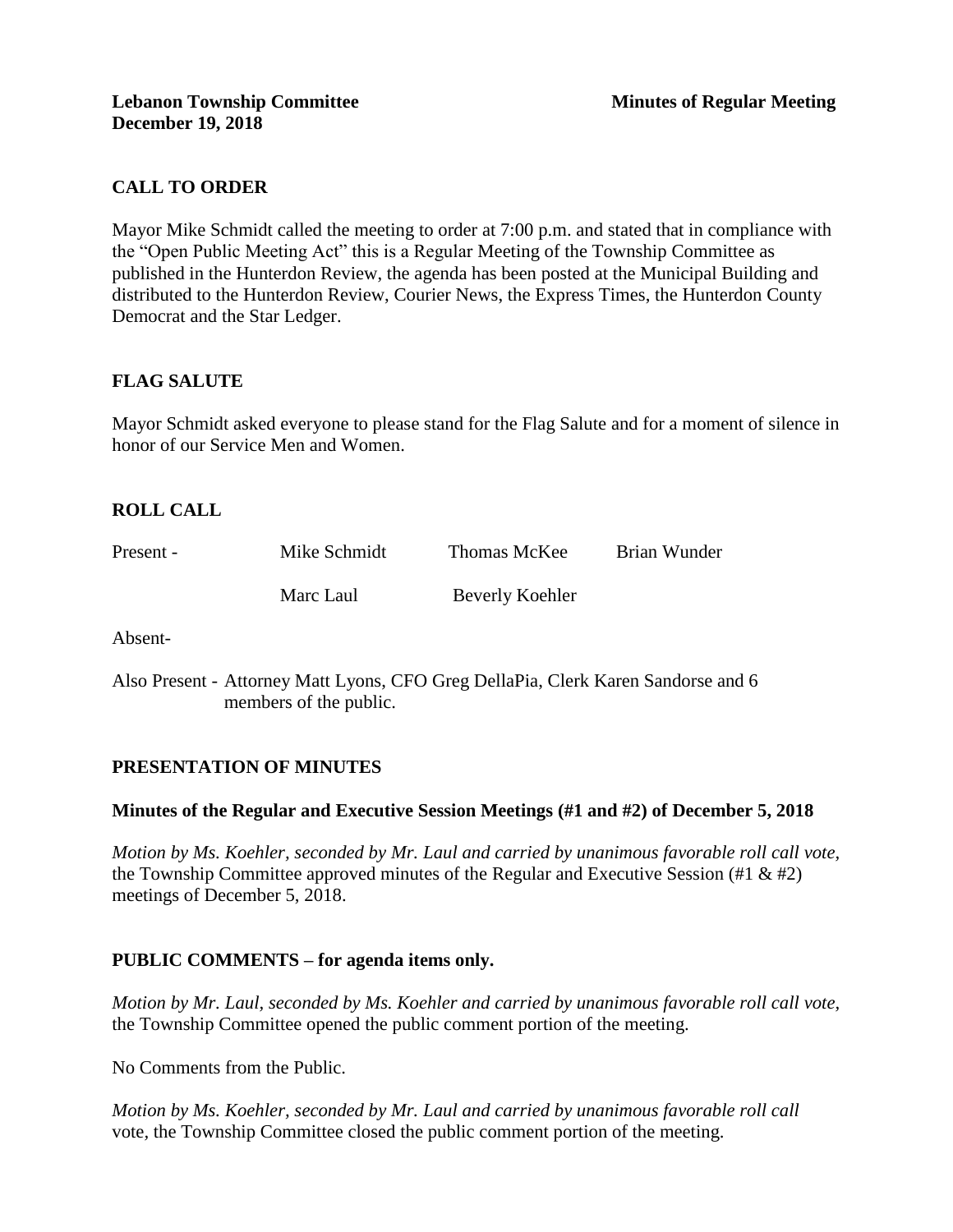# **CALL TO ORDER**

Mayor Mike Schmidt called the meeting to order at 7:00 p.m. and stated that in compliance with the "Open Public Meeting Act" this is a Regular Meeting of the Township Committee as published in the Hunterdon Review, the agenda has been posted at the Municipal Building and distributed to the Hunterdon Review, Courier News, the Express Times, the Hunterdon County Democrat and the Star Ledger.

# **FLAG SALUTE**

Mayor Schmidt asked everyone to please stand for the Flag Salute and for a moment of silence in honor of our Service Men and Women.

# **ROLL CALL**

| Present - | Mike Schmidt | Thomas McKee    | Brian Wunder |
|-----------|--------------|-----------------|--------------|
|           | Marc Laul    | Beverly Koehler |              |

Absent-

Also Present - Attorney Matt Lyons, CFO Greg DellaPia, Clerk Karen Sandorse and 6 members of the public.

#### **PRESENTATION OF MINUTES**

#### **Minutes of the Regular and Executive Session Meetings (#1 and #2) of December 5, 2018**

*Motion by Ms. Koehler, seconded by Mr. Laul and carried by unanimous favorable roll call vote,* the Township Committee approved minutes of the Regular and Executive Session (#1  $\&$  #2) meetings of December 5, 2018.

#### **PUBLIC COMMENTS – for agenda items only.**

*Motion by Mr. Laul, seconded by Ms. Koehler and carried by unanimous favorable roll call vote,* the Township Committee opened the public comment portion of the meeting.

No Comments from the Public.

*Motion by Ms. Koehler, seconded by Mr. Laul and carried by unanimous favorable roll call*  vote*,* the Township Committee closed the public comment portion of the meeting.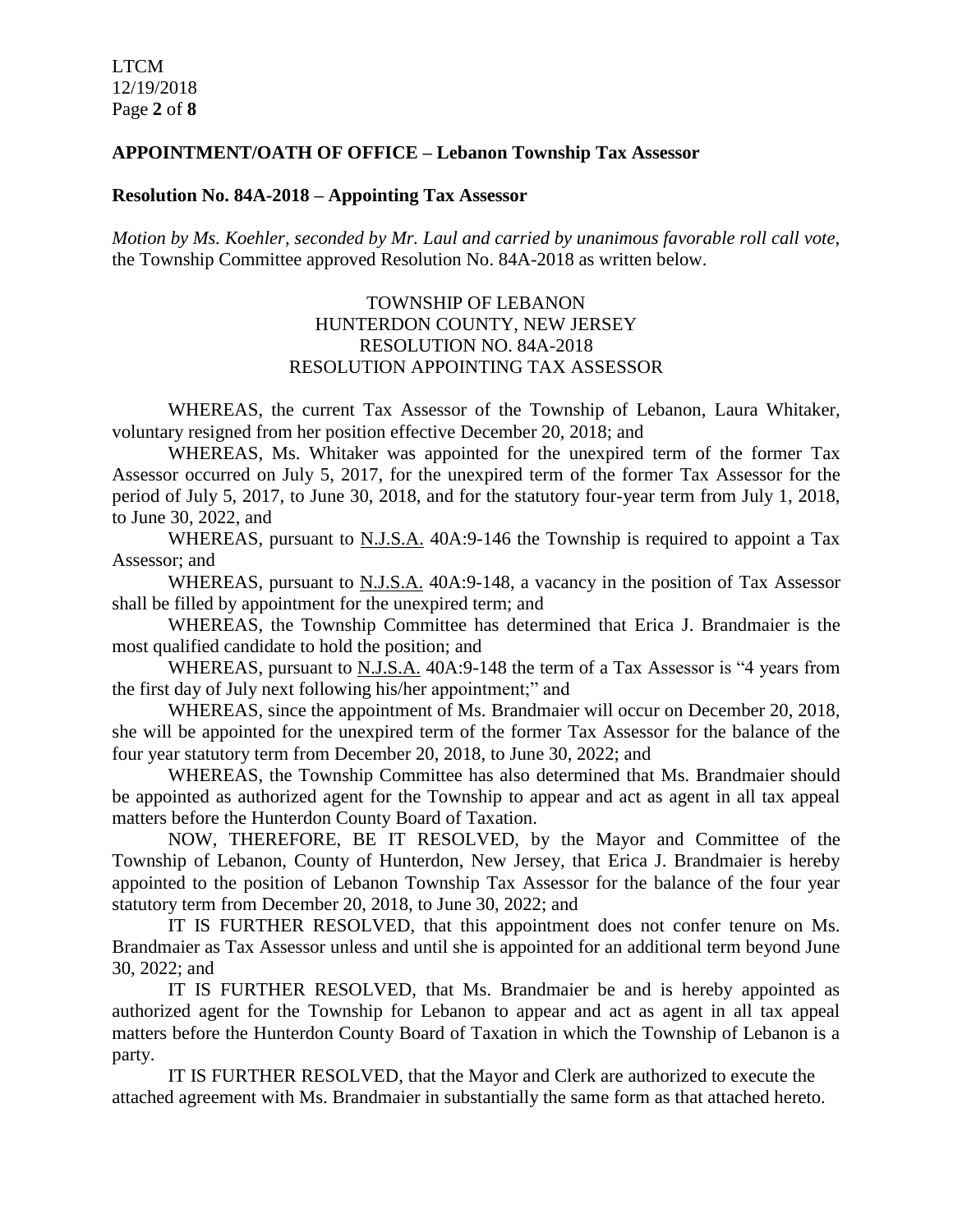#### **APPOINTMENT/OATH OF OFFICE – Lebanon Township Tax Assessor**

#### **Resolution No. 84A-2018 – Appointing Tax Assessor**

*Motion by Ms. Koehler, seconded by Mr. Laul and carried by unanimous favorable roll call vote,* the Township Committee approved Resolution No. 84A-2018 as written below.

### TOWNSHIP OF LEBANON HUNTERDON COUNTY, NEW JERSEY RESOLUTION NO. 84A-2018 RESOLUTION APPOINTING TAX ASSESSOR

WHEREAS, the current Tax Assessor of the Township of Lebanon, Laura Whitaker, voluntary resigned from her position effective December 20, 2018; and

WHEREAS, Ms. Whitaker was appointed for the unexpired term of the former Tax Assessor occurred on July 5, 2017, for the unexpired term of the former Tax Assessor for the period of July 5, 2017, to June 30, 2018, and for the statutory four-year term from July 1, 2018, to June 30, 2022, and

WHEREAS, pursuant to N.J.S.A. 40A:9-146 the Township is required to appoint a Tax Assessor; and

WHEREAS, pursuant to N.J.S.A. 40A:9-148, a vacancy in the position of Tax Assessor shall be filled by appointment for the unexpired term; and

WHEREAS, the Township Committee has determined that Erica J. Brandmaier is the most qualified candidate to hold the position; and

WHEREAS, pursuant to N.J.S.A. 40A:9-148 the term of a Tax Assessor is "4 years from the first day of July next following his/her appointment;" and

WHEREAS, since the appointment of Ms. Brandmaier will occur on December 20, 2018, she will be appointed for the unexpired term of the former Tax Assessor for the balance of the four year statutory term from December 20, 2018, to June 30, 2022; and

WHEREAS, the Township Committee has also determined that Ms. Brandmaier should be appointed as authorized agent for the Township to appear and act as agent in all tax appeal matters before the Hunterdon County Board of Taxation.

NOW, THEREFORE, BE IT RESOLVED, by the Mayor and Committee of the Township of Lebanon, County of Hunterdon, New Jersey, that Erica J. Brandmaier is hereby appointed to the position of Lebanon Township Tax Assessor for the balance of the four year statutory term from December 20, 2018, to June 30, 2022; and

IT IS FURTHER RESOLVED, that this appointment does not confer tenure on Ms. Brandmaier as Tax Assessor unless and until she is appointed for an additional term beyond June 30, 2022; and

IT IS FURTHER RESOLVED, that Ms. Brandmaier be and is hereby appointed as authorized agent for the Township for Lebanon to appear and act as agent in all tax appeal matters before the Hunterdon County Board of Taxation in which the Township of Lebanon is a party.

IT IS FURTHER RESOLVED, that the Mayor and Clerk are authorized to execute the attached agreement with Ms. Brandmaier in substantially the same form as that attached hereto.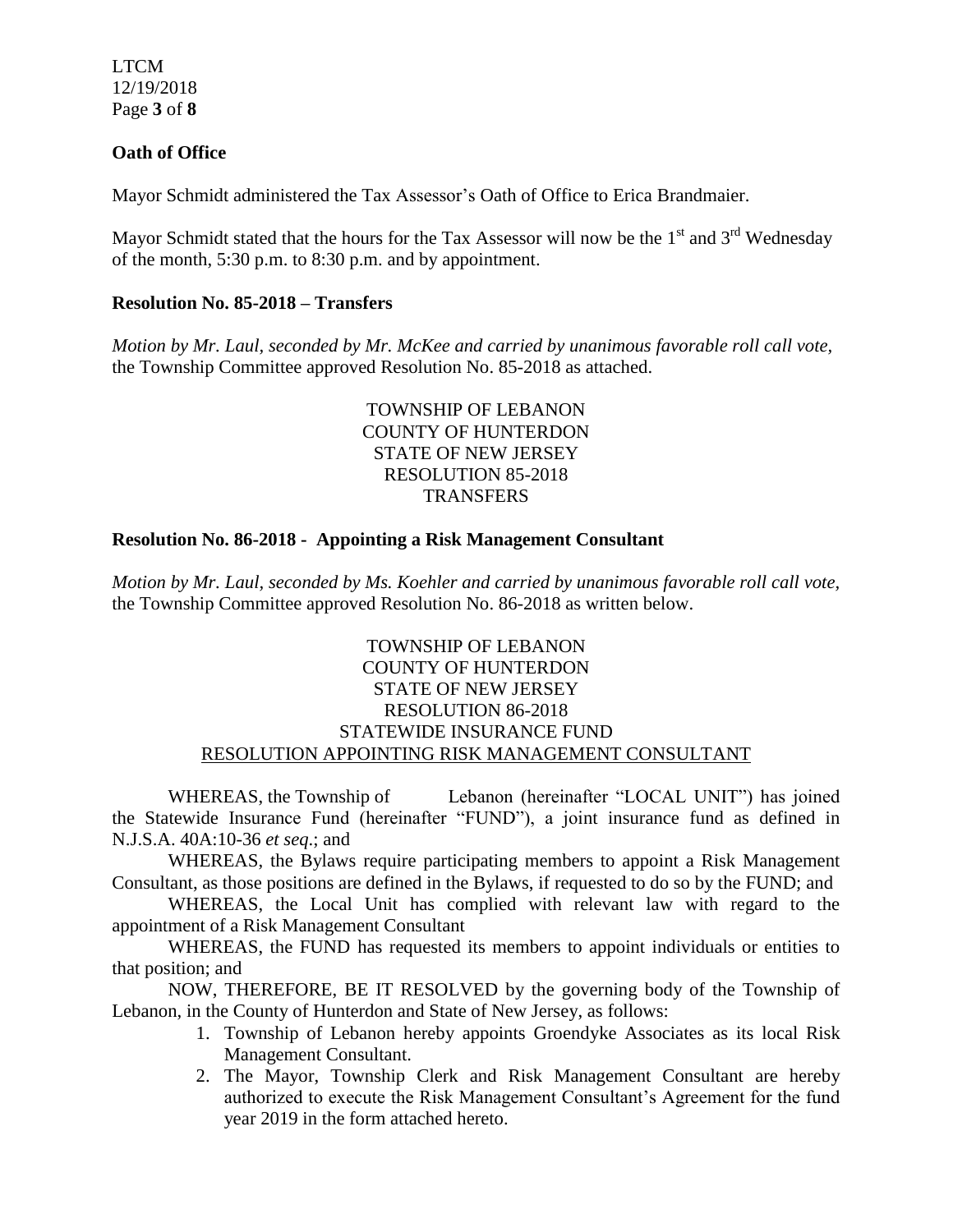LTCM 12/19/2018 Page **3** of **8**

### **Oath of Office**

Mayor Schmidt administered the Tax Assessor's Oath of Office to Erica Brandmaier.

Mayor Schmidt stated that the hours for the Tax Assessor will now be the  $1<sup>st</sup>$  and  $3<sup>rd</sup>$  Wednesday of the month, 5:30 p.m. to 8:30 p.m. and by appointment.

#### **Resolution No. 85-2018 – Transfers**

*Motion by Mr. Laul, seconded by Mr. McKee and carried by unanimous favorable roll call vote,* the Township Committee approved Resolution No. 85-2018 as attached.

### TOWNSHIP OF LEBANON COUNTY OF HUNTERDON STATE OF NEW JERSEY RESOLUTION 85-2018 **TRANSFERS**

### **Resolution No. 86-2018 - Appointing a Risk Management Consultant**

*Motion by Mr. Laul, seconded by Ms. Koehler and carried by unanimous favorable roll call vote,* the Township Committee approved Resolution No. 86-2018 as written below.

### TOWNSHIP OF LEBANON COUNTY OF HUNTERDON STATE OF NEW JERSEY RESOLUTION 86-2018 STATEWIDE INSURANCE FUND RESOLUTION APPOINTING RISK MANAGEMENT CONSULTANT

WHEREAS, the Township of Lebanon (hereinafter "LOCAL UNIT") has joined the Statewide Insurance Fund (hereinafter "FUND"), a joint insurance fund as defined in N.J.S.A. 40A:10-36 *et seq*.; and

WHEREAS, the Bylaws require participating members to appoint a Risk Management Consultant, as those positions are defined in the Bylaws, if requested to do so by the FUND; and

WHEREAS, the Local Unit has complied with relevant law with regard to the appointment of a Risk Management Consultant

WHEREAS, the FUND has requested its members to appoint individuals or entities to that position; and

NOW, THEREFORE, BE IT RESOLVED by the governing body of the Township of Lebanon, in the County of Hunterdon and State of New Jersey, as follows:

- 1. Township of Lebanon hereby appoints Groendyke Associates as its local Risk Management Consultant.
- 2. The Mayor, Township Clerk and Risk Management Consultant are hereby authorized to execute the Risk Management Consultant's Agreement for the fund year 2019 in the form attached hereto.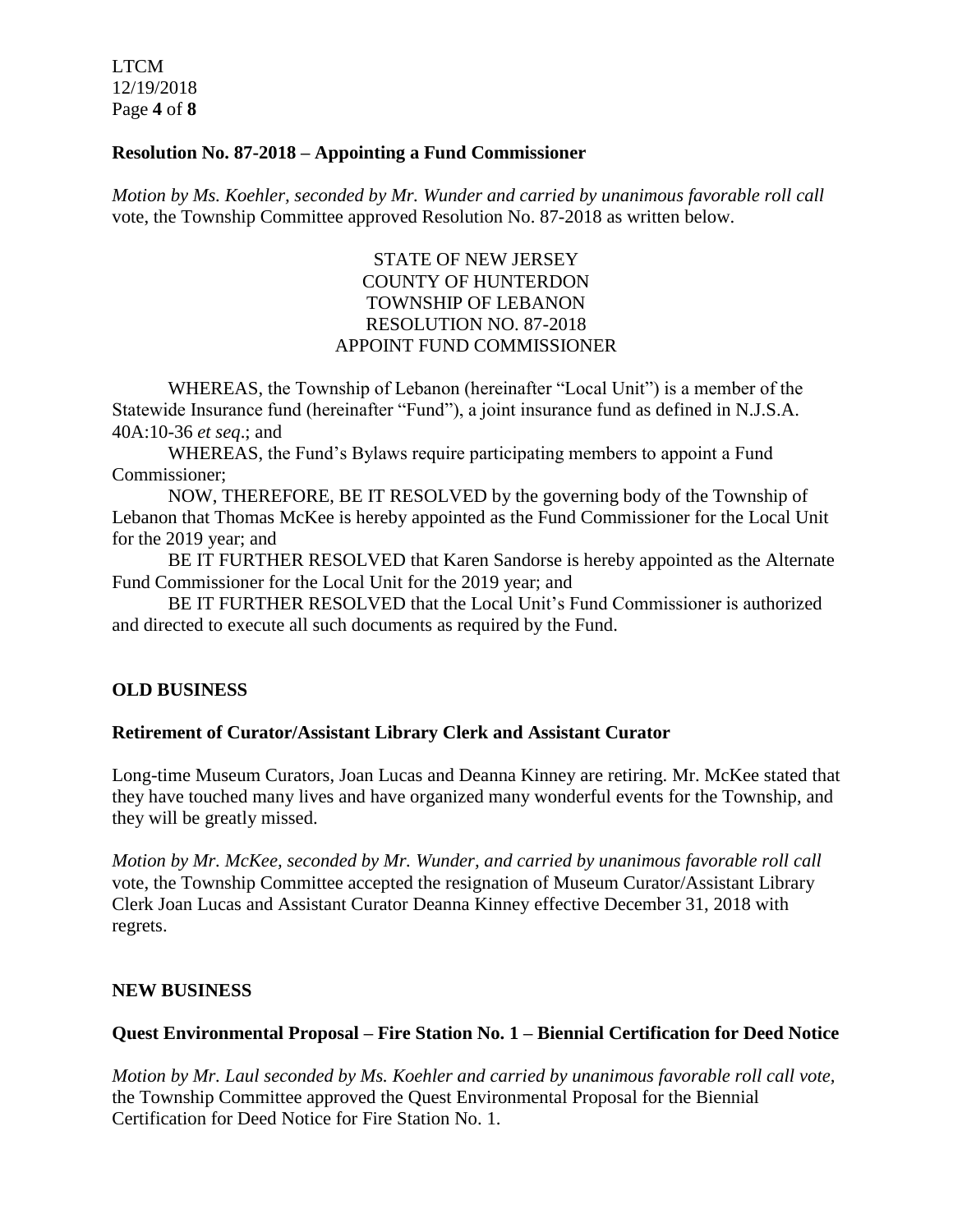LTCM 12/19/2018 Page **4** of **8**

### **Resolution No. 87-2018 – Appointing a Fund Commissioner**

*Motion by Ms. Koehler, seconded by Mr. Wunder and carried by unanimous favorable roll call* vote, the Township Committee approved Resolution No. 87-2018 as written below.

# STATE OF NEW JERSEY COUNTY OF HUNTERDON TOWNSHIP OF LEBANON RESOLUTION NO. 87-2018 APPOINT FUND COMMISSIONER

WHEREAS, the Township of Lebanon (hereinafter "Local Unit") is a member of the Statewide Insurance fund (hereinafter "Fund"), a joint insurance fund as defined in N.J.S.A. 40A:10-36 *et seq*.; and

WHEREAS, the Fund's Bylaws require participating members to appoint a Fund Commissioner;

NOW, THEREFORE, BE IT RESOLVED by the governing body of the Township of Lebanon that Thomas McKee is hereby appointed as the Fund Commissioner for the Local Unit for the 2019 year; and

BE IT FURTHER RESOLVED that Karen Sandorse is hereby appointed as the Alternate Fund Commissioner for the Local Unit for the 2019 year; and

BE IT FURTHER RESOLVED that the Local Unit's Fund Commissioner is authorized and directed to execute all such documents as required by the Fund.

# **OLD BUSINESS**

#### **Retirement of Curator/Assistant Library Clerk and Assistant Curator**

Long-time Museum Curators, Joan Lucas and Deanna Kinney are retiring. Mr. McKee stated that they have touched many lives and have organized many wonderful events for the Township, and they will be greatly missed.

*Motion by Mr. McKee, seconded by Mr. Wunder, and carried by unanimous favorable roll call*  vote, the Township Committee accepted the resignation of Museum Curator/Assistant Library Clerk Joan Lucas and Assistant Curator Deanna Kinney effective December 31, 2018 with regrets.

#### **NEW BUSINESS**

# **Quest Environmental Proposal – Fire Station No. 1 – Biennial Certification for Deed Notice**

*Motion by Mr. Laul seconded by Ms. Koehler and carried by unanimous favorable roll call vote,* the Township Committee approved the Quest Environmental Proposal for the Biennial Certification for Deed Notice for Fire Station No. 1.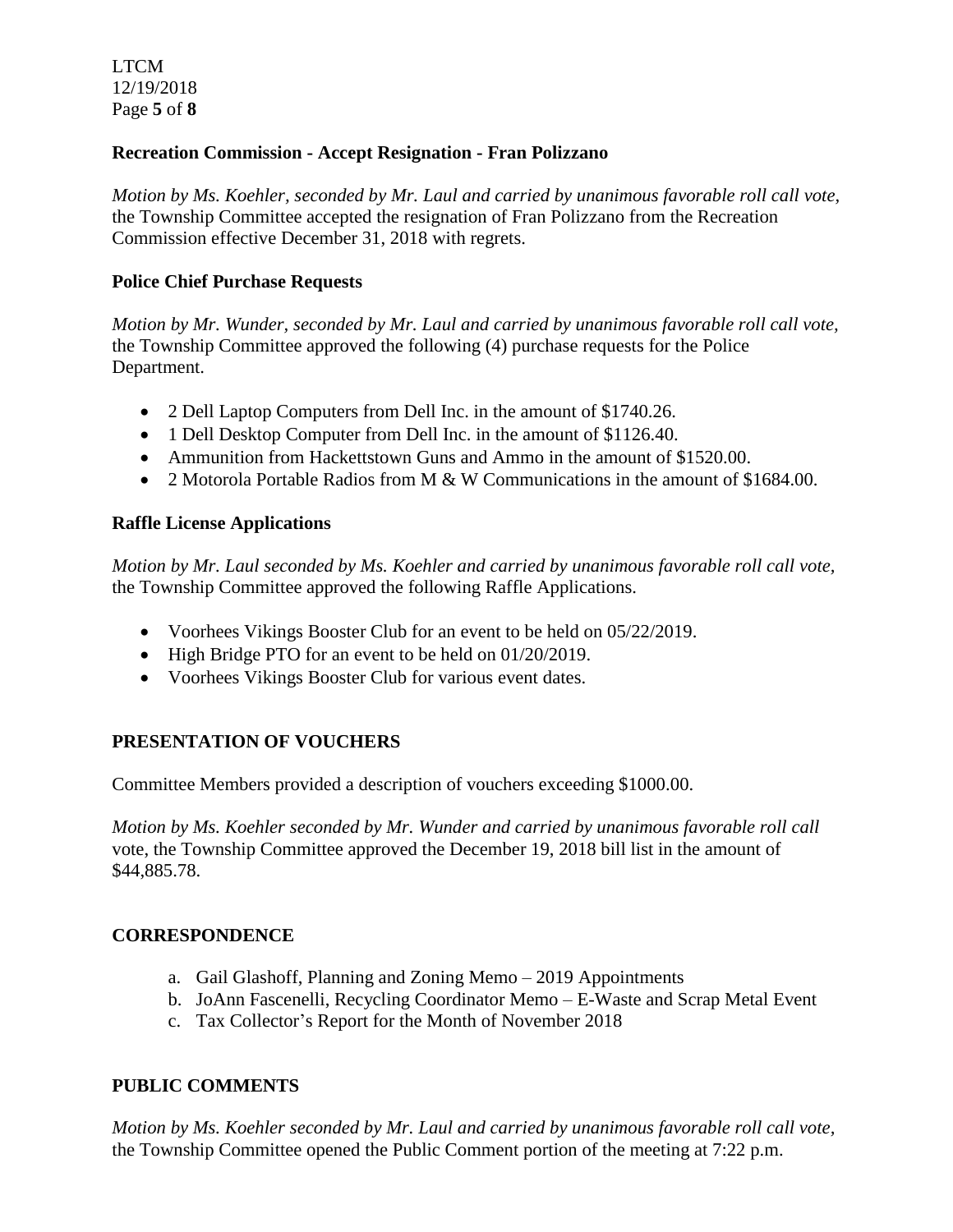# **Recreation Commission - Accept Resignation - Fran Polizzano**

*Motion by Ms. Koehler, seconded by Mr. Laul and carried by unanimous favorable roll call vote,* the Township Committee accepted the resignation of Fran Polizzano from the Recreation Commission effective December 31, 2018 with regrets.

### **Police Chief Purchase Requests**

*Motion by Mr. Wunder, seconded by Mr. Laul and carried by unanimous favorable roll call vote,* the Township Committee approved the following (4) purchase requests for the Police Department.

- 2 Dell Laptop Computers from Dell Inc. in the amount of \$1740.26.
- 1 Dell Desktop Computer from Dell Inc. in the amount of \$1126.40.
- Ammunition from Hackettstown Guns and Ammo in the amount of \$1520.00.
- 2 Motorola Portable Radios from M & W Communications in the amount of \$1684.00.

### **Raffle License Applications**

*Motion by Mr. Laul seconded by Ms. Koehler and carried by unanimous favorable roll call vote,* the Township Committee approved the following Raffle Applications.

- Voorhees Vikings Booster Club for an event to be held on 05/22/2019.
- $\bullet$  High Bridge PTO for an event to be held on 01/20/2019.
- Voorhees Vikings Booster Club for various event dates.

# **PRESENTATION OF VOUCHERS**

Committee Members provided a description of vouchers exceeding \$1000.00.

*Motion by Ms. Koehler seconded by Mr. Wunder and carried by unanimous favorable roll call*  vote, the Township Committee approved the December 19, 2018 bill list in the amount of \$44,885.78.

#### **CORRESPONDENCE**

- a. Gail Glashoff, Planning and Zoning Memo 2019 Appointments
- b. JoAnn Fascenelli, Recycling Coordinator Memo E-Waste and Scrap Metal Event
- c. Tax Collector's Report for the Month of November 2018

# **PUBLIC COMMENTS**

*Motion by Ms. Koehler seconded by Mr. Laul and carried by unanimous favorable roll call vote,* the Township Committee opened the Public Comment portion of the meeting at 7:22 p.m.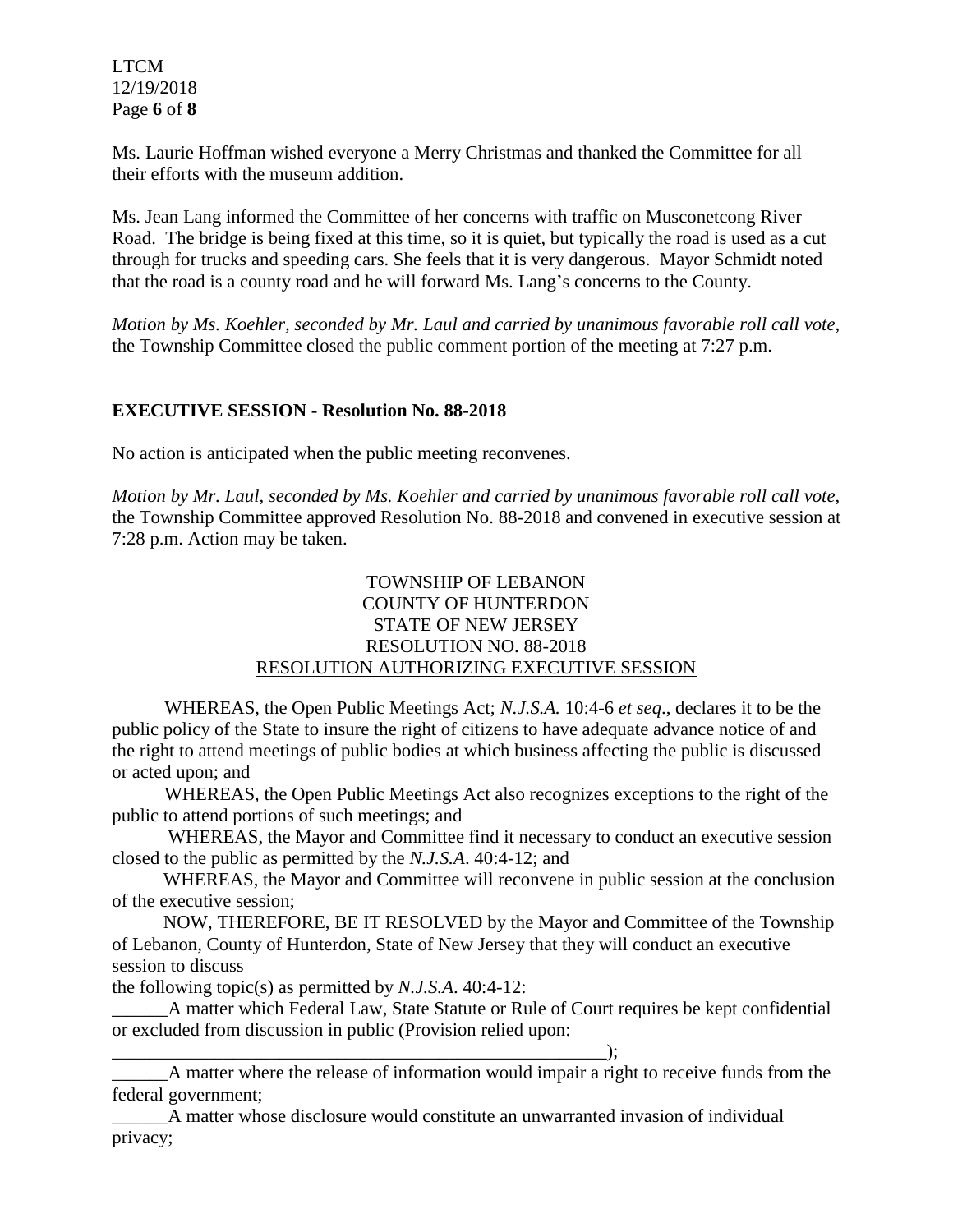LTCM 12/19/2018 Page **6** of **8**

Ms. Laurie Hoffman wished everyone a Merry Christmas and thanked the Committee for all their efforts with the museum addition.

Ms. Jean Lang informed the Committee of her concerns with traffic on Musconetcong River Road. The bridge is being fixed at this time, so it is quiet, but typically the road is used as a cut through for trucks and speeding cars. She feels that it is very dangerous. Mayor Schmidt noted that the road is a county road and he will forward Ms. Lang's concerns to the County.

*Motion by Ms. Koehler, seconded by Mr. Laul and carried by unanimous favorable roll call vote,* the Township Committee closed the public comment portion of the meeting at 7:27 p.m.

### **EXECUTIVE SESSION - Resolution No. 88-2018**

No action is anticipated when the public meeting reconvenes.

*Motion by Mr. Laul, seconded by Ms. Koehler and carried by unanimous favorable roll call vote,* the Township Committee approved Resolution No. 88-2018 and convened in executive session at 7:28 p.m. Action may be taken.

# TOWNSHIP OF LEBANON COUNTY OF HUNTERDON STATE OF NEW JERSEY RESOLUTION NO. 88-2018 RESOLUTION AUTHORIZING EXECUTIVE SESSION

WHEREAS, the Open Public Meetings Act; *N.J.S.A.* 10:4-6 *et seq*., declares it to be the public policy of the State to insure the right of citizens to have adequate advance notice of and the right to attend meetings of public bodies at which business affecting the public is discussed or acted upon; and

WHEREAS, the Open Public Meetings Act also recognizes exceptions to the right of the public to attend portions of such meetings; and

 WHEREAS, the Mayor and Committee find it necessary to conduct an executive session closed to the public as permitted by the *N.J.S.A*. 40:4-12; and

 WHEREAS, the Mayor and Committee will reconvene in public session at the conclusion of the executive session;

 NOW, THEREFORE, BE IT RESOLVED by the Mayor and Committee of the Township of Lebanon, County of Hunterdon, State of New Jersey that they will conduct an executive session to discuss

the following topic(s) as permitted by *N.J.S.A*. 40:4-12:

\_\_\_\_\_\_A matter which Federal Law, State Statute or Rule of Court requires be kept confidential or excluded from discussion in public (Provision relied upon:

\_\_\_\_\_\_\_\_\_\_\_\_\_\_\_\_\_\_\_\_\_\_\_\_\_\_\_\_\_\_\_\_\_\_\_\_\_\_\_\_\_\_\_\_\_\_\_\_\_\_\_\_\_); \_\_\_\_\_\_A matter where the release of information would impair a right to receive funds from the federal government;

\_\_\_\_\_\_A matter whose disclosure would constitute an unwarranted invasion of individual privacy;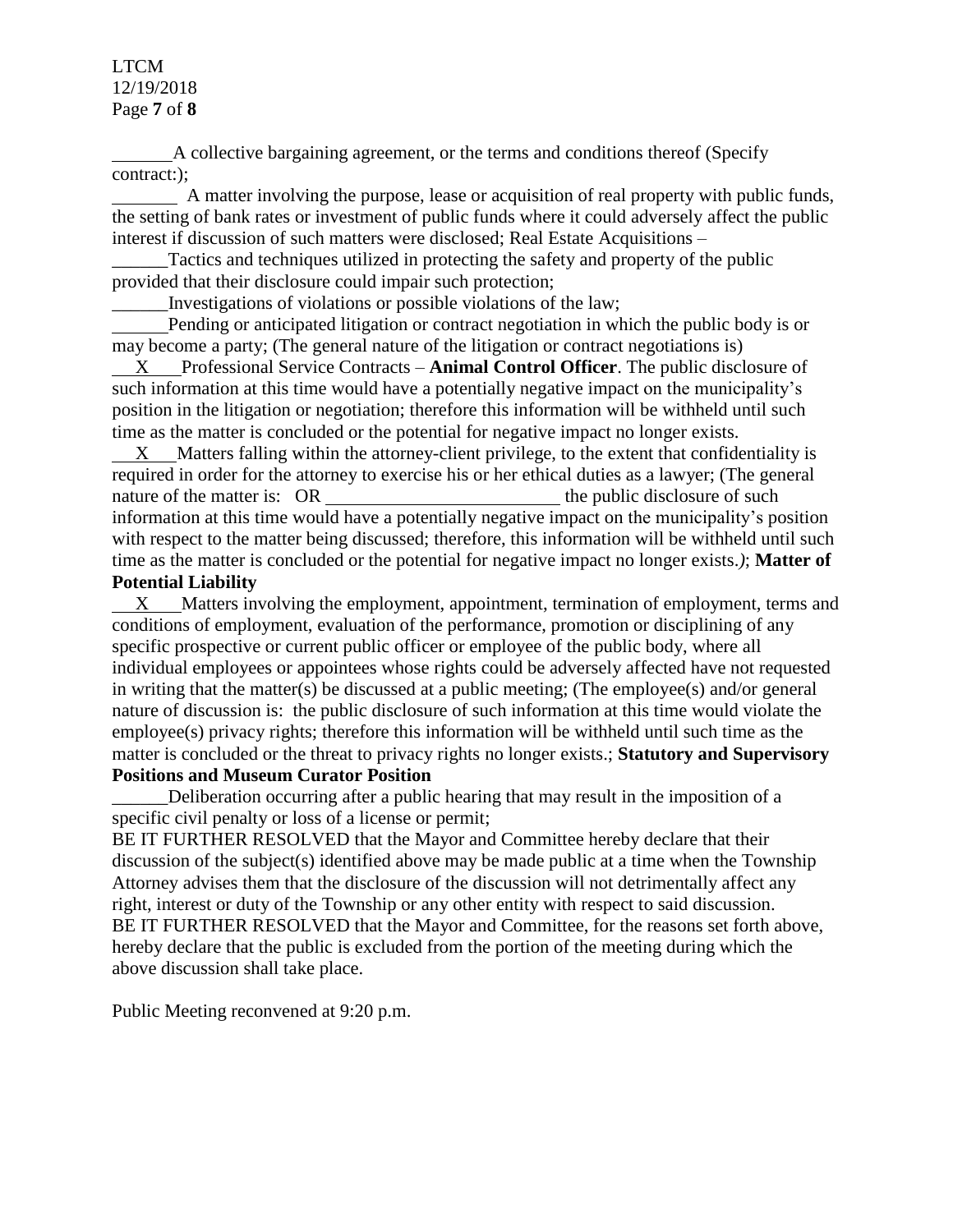LTCM 12/19/2018 Page **7** of **8**

 A collective bargaining agreement, or the terms and conditions thereof (Specify contract:);

 A matter involving the purpose, lease or acquisition of real property with public funds, the setting of bank rates or investment of public funds where it could adversely affect the public interest if discussion of such matters were disclosed; Real Estate Acquisitions –

Tactics and techniques utilized in protecting the safety and property of the public provided that their disclosure could impair such protection;

\_\_\_\_\_\_Investigations of violations or possible violations of the law;

 Pending or anticipated litigation or contract negotiation in which the public body is or may become a party; (The general nature of the litigation or contract negotiations is)

 X Professional Service Contracts – **Animal Control Officer**. The public disclosure of such information at this time would have a potentially negative impact on the municipality's position in the litigation or negotiation; therefore this information will be withheld until such time as the matter is concluded or the potential for negative impact no longer exists.

 $X$  Matters falling within the attorney-client privilege, to the extent that confidentiality is required in order for the attorney to exercise his or her ethical duties as a lawyer; (The general nature of the matter is: OR the public disclosure of such the public disclosure of such information at this time would have a potentially negative impact on the municipality's position with respect to the matter being discussed; therefore, this information will be withheld until such time as the matter is concluded or the potential for negative impact no longer exists.*)*; **Matter of Potential Liability**

 X Matters involving the employment, appointment, termination of employment, terms and conditions of employment, evaluation of the performance, promotion or disciplining of any specific prospective or current public officer or employee of the public body, where all individual employees or appointees whose rights could be adversely affected have not requested in writing that the matter(s) be discussed at a public meeting; (The employee(s) and/or general nature of discussion is: the public disclosure of such information at this time would violate the employee(s) privacy rights; therefore this information will be withheld until such time as the matter is concluded or the threat to privacy rights no longer exists.; **Statutory and Supervisory Positions and Museum Curator Position**

Deliberation occurring after a public hearing that may result in the imposition of a specific civil penalty or loss of a license or permit;

BE IT FURTHER RESOLVED that the Mayor and Committee hereby declare that their discussion of the subject(s) identified above may be made public at a time when the Township Attorney advises them that the disclosure of the discussion will not detrimentally affect any right, interest or duty of the Township or any other entity with respect to said discussion. BE IT FURTHER RESOLVED that the Mayor and Committee, for the reasons set forth above, hereby declare that the public is excluded from the portion of the meeting during which the above discussion shall take place.

Public Meeting reconvened at 9:20 p.m.